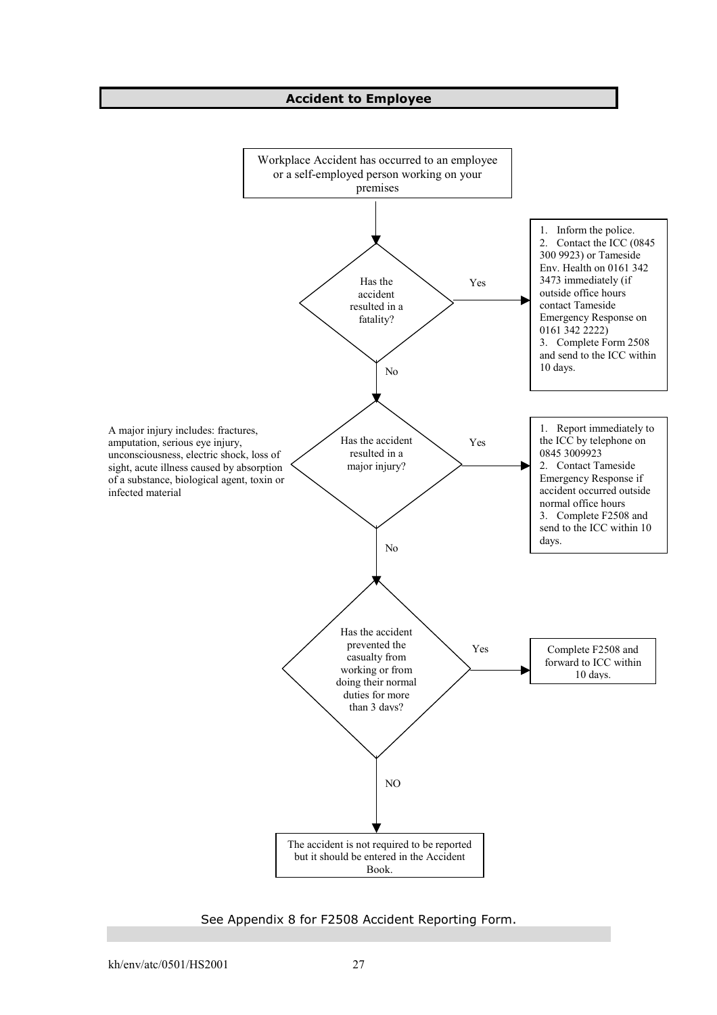## **Accident to Employee**



See Appendix 8 for F2508 Accident Reporting Form.